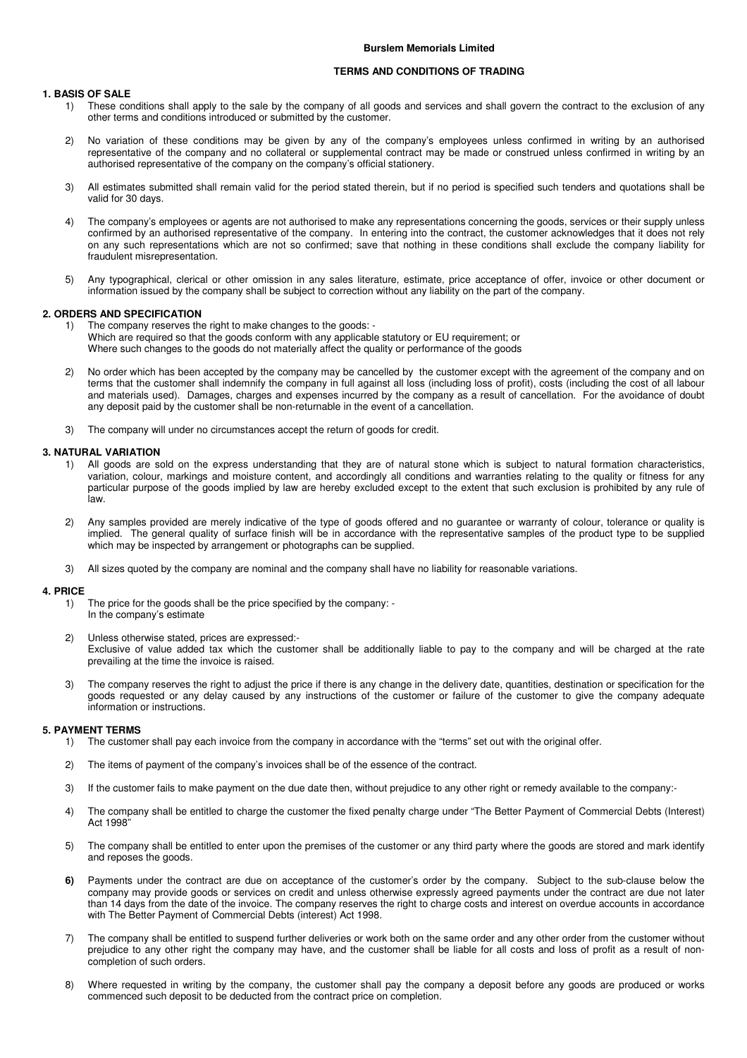## **TERMS AND CONDITIONS OF TRADING**

## **1. BASIS OF SALE**

- 1) These conditions shall apply to the sale by the company of all goods and services and shall govern the contract to the exclusion of any other terms and conditions introduced or submitted by the customer.
- 2) No variation of these conditions may be given by any of the company's employees unless confirmed in writing by an authorised representative of the company and no collateral or supplemental contract may be made or construed unless confirmed in writing by an authorised representative of the company on the company's official stationery.
- 3) All estimates submitted shall remain valid for the period stated therein, but if no period is specified such tenders and quotations shall be valid for 30 days.
- 4) The company's employees or agents are not authorised to make any representations concerning the goods, services or their supply unless confirmed by an authorised representative of the company. In entering into the contract, the customer acknowledges that it does not rely on any such representations which are not so confirmed; save that nothing in these conditions shall exclude the company liability for fraudulent misrepresentation.
- 5) Any typographical, clerical or other omission in any sales literature, estimate, price acceptance of offer, invoice or other document or information issued by the company shall be subject to correction without any liability on the part of the company.

## **2. ORDERS AND SPECIFICATION**

- 1) The company reserves the right to make changes to the goods: Which are required so that the goods conform with any applicable statutory or EU requirement; or Where such changes to the goods do not materially affect the quality or performance of the goods
- 2) No order which has been accepted by the company may be cancelled by the customer except with the agreement of the company and on terms that the customer shall indemnify the company in full against all loss (including loss of profit), costs (including the cost of all labour and materials used). Damages, charges and expenses incurred by the company as a result of cancellation. For the avoidance of doubt any deposit paid by the customer shall be non-returnable in the event of a cancellation.
- 3) The company will under no circumstances accept the return of goods for credit.

## **3. NATURAL VARIATION**

- 1) All goods are sold on the express understanding that they are of natural stone which is subject to natural formation characteristics, variation, colour, markings and moisture content, and accordingly all conditions and warranties relating to the quality or fitness for any particular purpose of the goods implied by law are hereby excluded except to the extent that such exclusion is prohibited by any rule of law.
- 2) Any samples provided are merely indicative of the type of goods offered and no guarantee or warranty of colour, tolerance or quality is implied. The general quality of surface finish will be in accordance with the representative samples of the product type to be supplied which may be inspected by arrangement or photographs can be supplied.
- 3) All sizes quoted by the company are nominal and the company shall have no liability for reasonable variations.

#### **4. PRICE**

- 1) The price for the goods shall be the price specified by the company: In the company's estimate
- 2) Unless otherwise stated, prices are expressed:- Exclusive of value added tax which the customer shall be additionally liable to pay to the company and will be charged at the rate prevailing at the time the invoice is raised.
- 3) The company reserves the right to adjust the price if there is any change in the delivery date, quantities, destination or specification for the goods requested or any delay caused by any instructions of the customer or failure of the customer to give the company adequate information or instructions.

## **5. PAYMENT TERMS**

- 1) The customer shall pay each invoice from the company in accordance with the "terms" set out with the original offer.
- 2) The items of payment of the company's invoices shall be of the essence of the contract.
- 3) If the customer fails to make payment on the due date then, without prejudice to any other right or remedy available to the company:-
- 4) The company shall be entitled to charge the customer the fixed penalty charge under "The Better Payment of Commercial Debts (Interest) Act 1998<sup>'</sup>
- 5) The company shall be entitled to enter upon the premises of the customer or any third party where the goods are stored and mark identify and reposes the goods.
- **6)** Payments under the contract are due on acceptance of the customer's order by the company. Subject to the sub-clause below the company may provide goods or services on credit and unless otherwise expressly agreed payments under the contract are due not later than 14 days from the date of the invoice. The company reserves the right to charge costs and interest on overdue accounts in accordance with The Better Payment of Commercial Debts (interest) Act 1998.
- 7) The company shall be entitled to suspend further deliveries or work both on the same order and any other order from the customer without prejudice to any other right the company may have, and the customer shall be liable for all costs and loss of profit as a result of noncompletion of such orders.
- 8) Where requested in writing by the company, the customer shall pay the company a deposit before any goods are produced or works commenced such deposit to be deducted from the contract price on completion.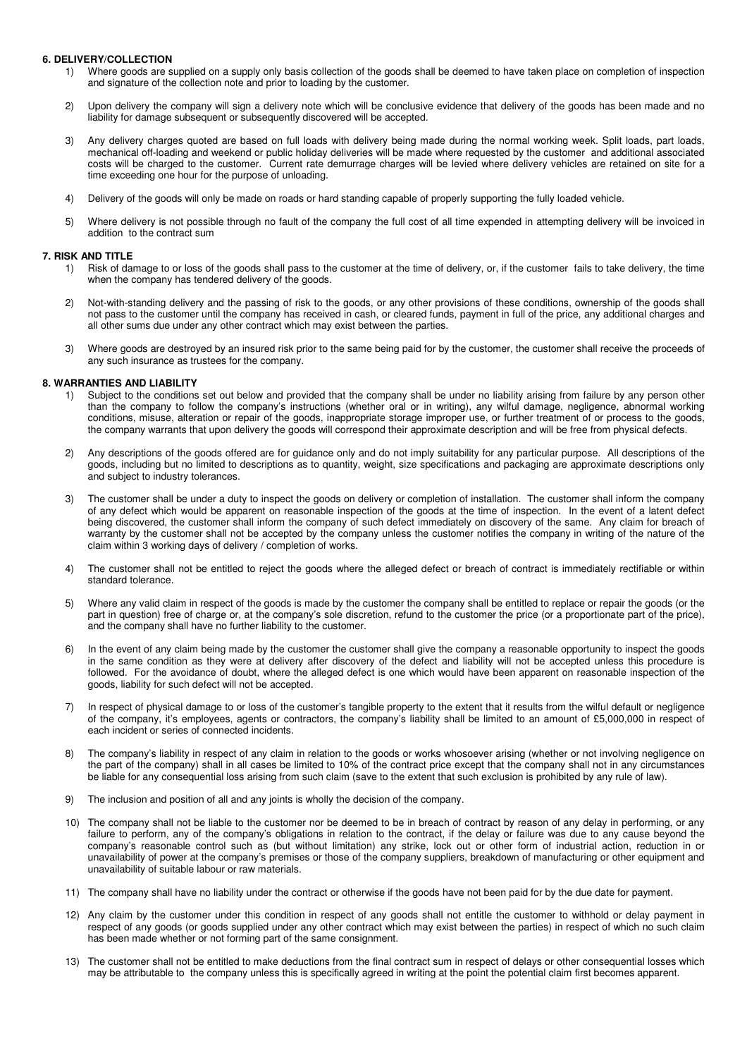#### **6. DELIVERY/COLLECTION**

- 1) Where goods are supplied on a supply only basis collection of the goods shall be deemed to have taken place on completion of inspection and signature of the collection note and prior to loading by the customer.
- 2) Upon delivery the company will sign a delivery note which will be conclusive evidence that delivery of the goods has been made and no liability for damage subsequent or subsequently discovered will be accepted.
- 3) Any delivery charges quoted are based on full loads with delivery being made during the normal working week. Split loads, part loads, mechanical off-loading and weekend or public holiday deliveries will be made where requested by the customer and additional associated costs will be charged to the customer. Current rate demurrage charges will be levied where delivery vehicles are retained on site for a time exceeding one hour for the purpose of unloading.
- 4) Delivery of the goods will only be made on roads or hard standing capable of properly supporting the fully loaded vehicle.
- 5) Where delivery is not possible through no fault of the company the full cost of all time expended in attempting delivery will be invoiced in addition to the contract sum

#### **7. RISK AND TITLE**

- 1) Risk of damage to or loss of the goods shall pass to the customer at the time of delivery, or, if the customer fails to take delivery, the time when the company has tendered delivery of the goods.
- 2) Not-with-standing delivery and the passing of risk to the goods, or any other provisions of these conditions, ownership of the goods shall not pass to the customer until the company has received in cash, or cleared funds, payment in full of the price, any additional charges and all other sums due under any other contract which may exist between the parties.
- 3) Where goods are destroyed by an insured risk prior to the same being paid for by the customer, the customer shall receive the proceeds of any such insurance as trustees for the company.

#### **8. WARRANTIES AND LIABILITY**

- 1) Subject to the conditions set out below and provided that the company shall be under no liability arising from failure by any person other than the company to follow the company's instructions (whether oral or in writing), any wilful damage, negligence, abnormal working conditions, misuse, alteration or repair of the goods, inappropriate storage improper use, or further treatment of or process to the goods, the company warrants that upon delivery the goods will correspond their approximate description and will be free from physical defects.
- 2) Any descriptions of the goods offered are for guidance only and do not imply suitability for any particular purpose. All descriptions of the goods, including but no limited to descriptions as to quantity, weight, size specifications and packaging are approximate descriptions only and subject to industry tolerances.
- 3) The customer shall be under a duty to inspect the goods on delivery or completion of installation. The customer shall inform the company of any defect which would be apparent on reasonable inspection of the goods at the time of inspection. In the event of a latent defect being discovered, the customer shall inform the company of such defect immediately on discovery of the same. Any claim for breach of warranty by the customer shall not be accepted by the company unless the customer notifies the company in writing of the nature of the claim within 3 working days of delivery / completion of works.
- 4) The customer shall not be entitled to reject the goods where the alleged defect or breach of contract is immediately rectifiable or within standard tolerance.
- 5) Where any valid claim in respect of the goods is made by the customer the company shall be entitled to replace or repair the goods (or the part in question) free of charge or, at the company's sole discretion, refund to the customer the price (or a proportionate part of the price), and the company shall have no further liability to the customer.
- 6) In the event of any claim being made by the customer the customer shall give the company a reasonable opportunity to inspect the goods in the same condition as they were at delivery after discovery of the defect and liability will not be accepted unless this procedure is followed. For the avoidance of doubt, where the alleged defect is one which would have been apparent on reasonable inspection of the goods, liability for such defect will not be accepted.
- 7) In respect of physical damage to or loss of the customer's tangible property to the extent that it results from the wilful default or negligence of the company, it's employees, agents or contractors, the company's liability shall be limited to an amount of £5,000,000 in respect of each incident or series of connected incidents.
- 8) The company's liability in respect of any claim in relation to the goods or works whosoever arising (whether or not involving negligence on the part of the company) shall in all cases be limited to 10% of the contract price except that the company shall not in any circumstances be liable for any consequential loss arising from such claim (save to the extent that such exclusion is prohibited by any rule of law).
- 9) The inclusion and position of all and any joints is wholly the decision of the company.
- 10) The company shall not be liable to the customer nor be deemed to be in breach of contract by reason of any delay in performing, or any failure to perform, any of the company's obligations in relation to the contract, if the delay or failure was due to any cause beyond the company's reasonable control such as (but without limitation) any strike, lock out or other form of industrial action, reduction in or unavailability of power at the company's premises or those of the company suppliers, breakdown of manufacturing or other equipment and unavailability of suitable labour or raw materials.
- 11) The company shall have no liability under the contract or otherwise if the goods have not been paid for by the due date for payment.
- 12) Any claim by the customer under this condition in respect of any goods shall not entitle the customer to withhold or delay payment in respect of any goods (or goods supplied under any other contract which may exist between the parties) in respect of which no such claim has been made whether or not forming part of the same consignment.
- 13) The customer shall not be entitled to make deductions from the final contract sum in respect of delays or other consequential losses which may be attributable to the company unless this is specifically agreed in writing at the point the potential claim first becomes apparent.